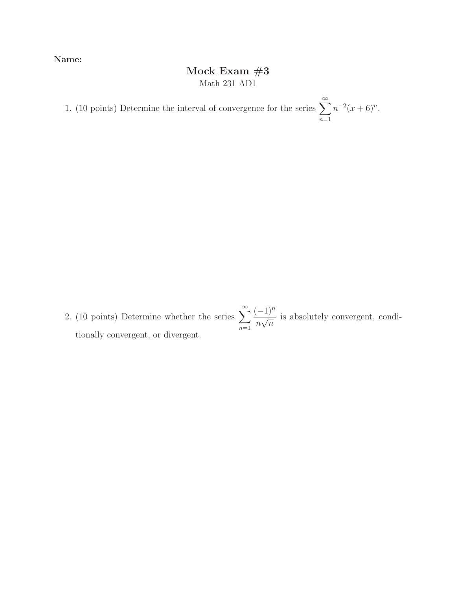Name:

## Mock Exam #3 Math 231 AD1

1. (10 points) Determine the interval of convergence for the series  $\sum_{n=1}^{\infty}$  $n=1$  $n^{-2}(x+6)^n$ .

2. (10 points) Determine whether the series  $\sum_{n=1}^{\infty}$  $n=1$  $\frac{(-1)^n}{\sqrt{2}}$  $\frac{1}{n\sqrt{n}}$  is absolutely convergent, conditionally convergent, or divergent.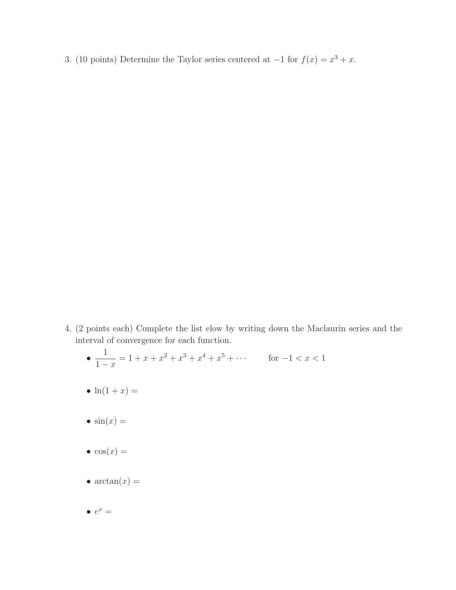3. (10 points) Determine the Taylor series centered at  $-1$  for  $f(x) = x^3 + x$ .

- 4. (2 points each) Complete the list elow by writing down the Maclaurin series and the interval of convergence for each function.
	- 1  $1 - x$  $= 1 + x + x^2 + x^3 + x^4 + x^5 + \cdots$  for  $-1 < x < 1$
	- $\ln(1+x) =$
	- $\sin(x) =$
	- $\cos(x) =$
	- $arctan(x) =$
	- $e^x =$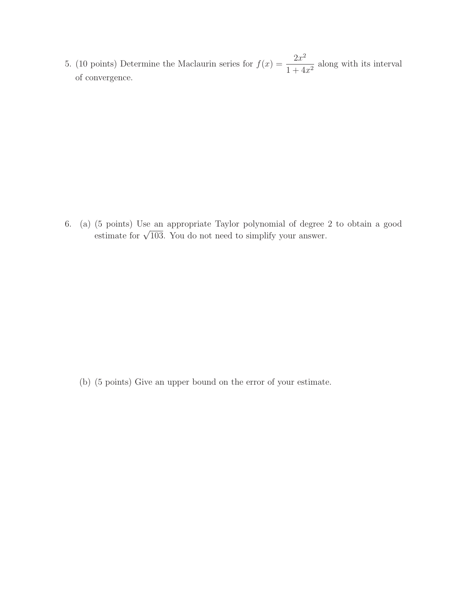5. (10 points) Determine the Maclaurin series for  $f(x) = \frac{2x^2}{1+x^4}$  $\frac{2x}{1+4x^2}$  along with its interval of convergence.

6. (a) (5 points) Use an appropriate Taylor polynomial of degree 2 to obtain a good estimate for  $\sqrt{103}$ . You do not need to simplify your answer.

(b) (5 points) Give an upper bound on the error of your estimate.